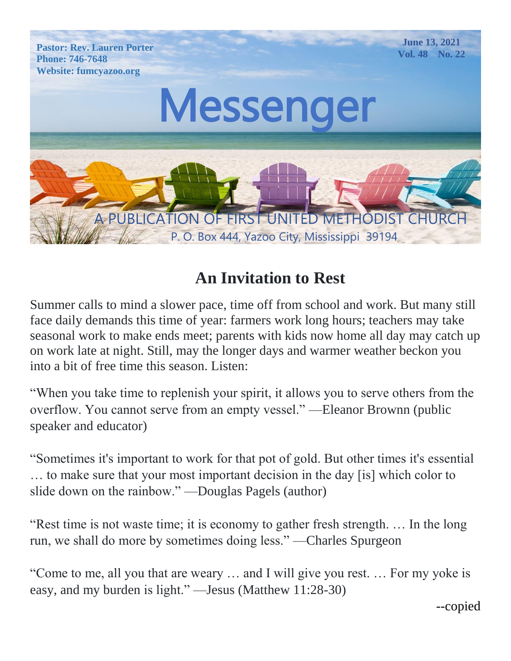

# **An Invitation to Rest**

Summer calls to mind a slower pace, time off from school and work. But many still face daily demands this time of year: farmers work long hours; teachers may take seasonal work to make ends meet; parents with kids now home all day may catch up on work late at night. Still, may the longer days and warmer weather beckon you into a bit of free time this season. Listen:

"When you take time to replenish your spirit, it allows you to serve others from the overflow. You cannot serve from an empty vessel." —Eleanor Brownn (public speaker and educator)

"Sometimes it's important to work for that pot of gold. But other times it's essential … to make sure that your most important decision in the day [is] which color to slide down on the rainbow." —Douglas Pagels (author)

"Rest time is not waste time; it is economy to gather fresh strength. … In the long run, we shall do more by sometimes doing less." —Charles Spurgeon

"Come to me, all you that are weary … and I will give you rest. … For my yoke is easy, and my burden is light." —Jesus (Matthew 11:28-30)

--copied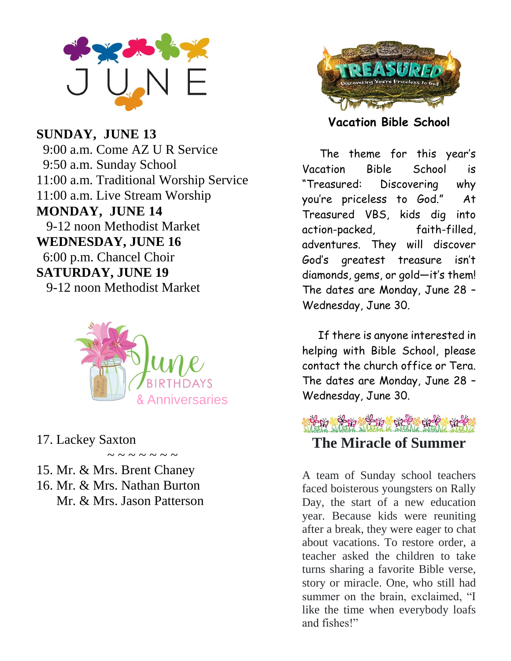

 $\overline{\text{GIMD} + \text{V}}$  ,  $\overline{\text{HIMD}}$  42  $\frac{90}{100}$   $\frac{1}{2}$   $\frac{1}{2}$  $1.00$  a.m. Come AZ U N Service  $11.00 \times w$ . Two different Wording Stream Worship Stream Wording Stream Wording Stream World Stream Wording Stream World Stream World Stream World Stream World Stream World Stream World Stream World Stream World Stream Wor **Monday, 11.00 a.m. Manufolia** *MONINA V<sub>L</sub> THE MEMORIAL DAY-OFFICE CALCULATION* WONDAT, JUNE 14 *P-12 HOOH INCHIOUIST IVE* **WEDNESDAT, JUNE IV SATURDAY, HARR 10** 941 UNDAT, JUINE 19 9:00 a.m. C<br>
9:50 a.m. S<br>
11:00 a.m. I<br>
11:00 a.m. L<br> **MONDAY,**<br>
9-12 noon<br> **WEDNESD**<br>
6:00 p.m. C<br> **SATURDA'**<br>
9-12 noon<br>
17. Lackey S<br>
15. Mr. & M<br>
16. Mr. & M<br>
Mr. & M<br>
Mr. & M **SUNDAY, JUNE 13** 9:00 a.m. Come AZ U R Service 9:50 a.m. Sunday School 11:00 a.m. Traditional Worship Service 11:00 a.m. Live Stream Worship **MONDAY, JUNE 14** 9-12 noon Methodist Market **WEDNESDAY, JUNE 16** 6:00 p.m. Chancel Choir **SATURDAY, JUNE 19** 9-12 noon Methodist Market



17. Lackey Saxton

 $\sim$  ~ ~ ~ ~ ~

- 15. Mr. & Mrs. Brent Chaney
- rent<br>othor  $M_r$ ,  $\ell_r$   $M_{r0}$  $\overline{M}$ .  $\alpha$   $\overline{M}$ ,  $\alpha$   $\overline{M}$ ,  $\alpha$   $\overline{M}$ 16. Mr. & Mrs. Nathan Burton Mr. & Mrs. Jason Patterson



**Vacation Bible School**

 The theme for this year's Vacation Bible School is "Treasured: Discovering why you're priceless to God." At Treasured VBS, kids dig into action-packed, faith-filled, adventures. They will discover God's greatest treasure isn't diamonds, gems, or gold—it's them! The dates are Monday, June 28 – Wednesday, June 30.

 If there is anyone interested in helping with Bible School, please contact the church office or Tera. The dates are Monday, June 28 – Wednesday, June 30.

के पर के देश के पुरुष के दौर कुछ की दी पर **The Miracle of Summer**

A team of Sunday school teachers faced boisterous youngsters on Rally Day, the start of a new education year. Because kids were reuniting after a break, they were eager to chat about vacations. To restore order, a teacher asked the children to take turns sharing a favorite Bible verse, story or miracle. One, who still had summer on the brain, exclaimed, "I like the time when everybody loafs and fishes!"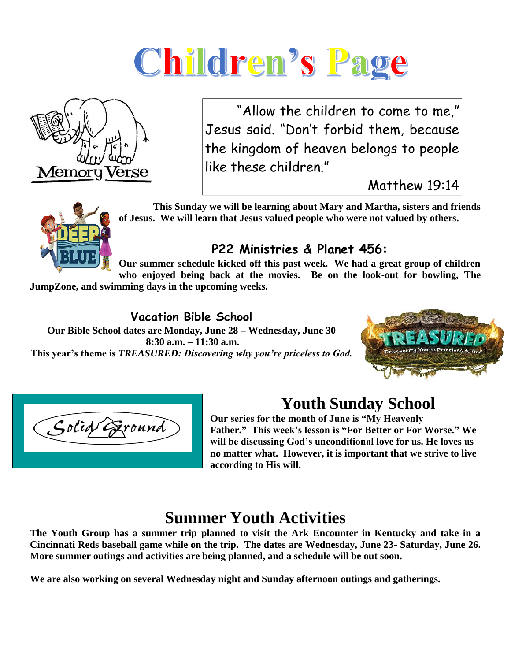



 April 11, 2021 "Allow the children to come to me,"  $\mid$ Jesus said. "Don't forbid them, because the kingdom of heaven belongs to people like these children."

Matthew 19:14



 **This Sunday we will be learning about Mary and Martha, sisters and friends of Jesus. We will learn that Jesus valued people who were not valued by others.**

### **P22 Ministries & Planet 456:**

**Our summer schedule kicked off this past week. We had a great group of children who enjoyed being back at the movies. Be on the look-out for bowling, The** 

**JumpZone, and swimming days in the upcoming weeks.**

#### **Vacation Bible School**

**Our Bible School dates are Monday, June 28 – Wednesday, June 30 8:30 a.m. – 11:30 a.m. This year's theme is** *TREASURED: Discovering why you're priceless to God.*





## **Youth Sunday School**

**Our series for the month of June is "My Heavenly Father." This week's lesson is "For Better or For Worse." We will be discussing God's unconditional love for us. He loves us no matter what. However, it is important that we strive to live according to His will.**

## **Summer Youth Activities**

**The Youth Group has a summer trip planned to visit the Ark Encounter in Kentucky and take in a Cincinnati Reds baseball game while on the trip. The dates are Wednesday, June 23- Saturday, June 26. More summer outings and activities are being planned, and a schedule will be out soon.**

**We are also working on several Wednesday night and Sunday afternoon outings and gatherings.**